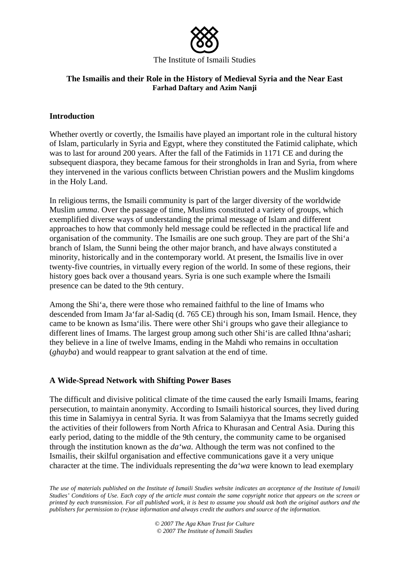

#### The Institute of Ismaili Studies

## **The Ismailis and their Role in the History of Medieval Syria and the Near East Farhad Daftary and Azim Nanji**

# **Introduction**

Whether overtly or covertly, the Ismailis have played an important role in the cultural history of Islam, particularly in Syria and Egypt, where they constituted the Fatimid caliphate, which was to last for around 200 years. After the fall of the Fatimids in 1171 CE and during the subsequent diaspora, they became famous for their strongholds in Iran and Syria, from where they intervened in the various conflicts between Christian powers and the Muslim kingdoms in the Holy Land.

In religious terms, the Ismaili community is part of the larger diversity of the worldwide Muslim *umma*. Over the passage of time, Muslims constituted a variety of groups, which exemplified diverse ways of understanding the primal message of Islam and different approaches to how that commonly held message could be reflected in the practical life and organisation of the community. The Ismailis are one such group. They are part of the Shi'a branch of Islam, the Sunni being the other major branch, and have always constituted a minority, historically and in the contemporary world. At present, the Ismailis live in over twenty-five countries, in virtually every region of the world. In some of these regions, their history goes back over a thousand years. Syria is one such example where the Ismaili presence can be dated to the 9th century.

Among the Shi'a, there were those who remained faithful to the line of Imams who descended from Imam Ja'far al-Sadiq (d. 765 CE) through his son, Imam Ismail. Hence, they came to be known as Isma'ilis. There were other Shi'i groups who gave their allegiance to different lines of Imams. The largest group among such other Shi'is are called Ithna'ashari; they believe in a line of twelve Imams, ending in the Mahdi who remains in occultation (*ghayba*) and would reappear to grant salvation at the end of time.

### **A Wide-Spread Network with Shifting Power Bases**

The difficult and divisive political climate of the time caused the early Ismaili Imams, fearing persecution, to maintain anonymity. According to Ismaili historical sources, they lived during this time in Salamiyya in central Syria. It was from Salamiyya that the Imams secretly guided the activities of their followers from North Africa to Khurasan and Central Asia. During this early period, dating to the middle of the 9th century, the community came to be organised through the institution known as the *da'wa*. Although the term was not confined to the Ismailis, their skilful organisation and effective communications gave it a very unique character at the time. The individuals representing the *da'wa* were known to lead exemplary

*The use of materials published on the Institute of Ismaili Studies website indicates an acceptance of the Institute of Ismaili Studies' Conditions of Use. Each copy of the article must contain the same copyright notice that appears on the screen or printed by each transmission. For all published work, it is best to assume you should ask both the original authors and the publishers for permission to (re)use information and always credit the authors and source of the information.* 

> *© 2007 The Aga Khan Trust for Culture © 2007 The Institute of Ismaili Studies*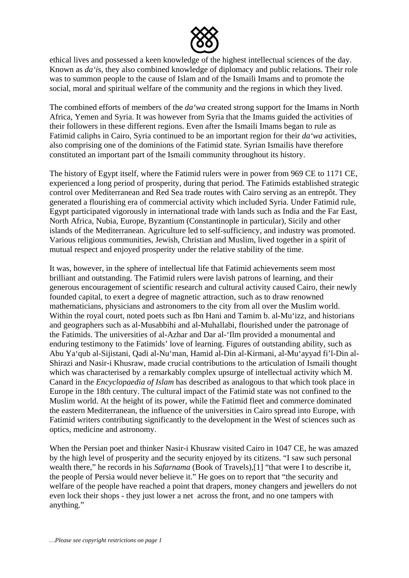

ethical lives and possessed a keen knowledge of the highest intellectual sciences of the day. Known as *da'i*s, they also combined knowledge of diplomacy and public relations. Their role was to summon people to the cause of Islam and of the Ismaili Imams and to promote the social, moral and spiritual welfare of the community and the regions in which they lived.

The combined efforts of members of the *da'wa* created strong support for the Imams in North Africa, Yemen and Syria. It was however from Syria that the Imams guided the activities of their followers in these different regions. Even after the Ismaili Imams began to rule as Fatimid caliphs in Cairo, Syria continued to be an important region for their *da'wa* activities, also comprising one of the dominions of the Fatimid state. Syrian Ismailis have therefore constituted an important part of the Ismaili community throughout its history.

The history of Egypt itself, where the Fatimid rulers were in power from 969 CE to 1171 CE, experienced a long period of prosperity, during that period. The Fatimids established strategic control over Mediterranean and Red Sea trade routes with Cairo serving as an entrepôt. They generated a flourishing era of commercial activity which included Syria. Under Fatimid rule, Egypt participated vigorously in international trade with lands such as India and the Far East, North Africa, Nubia, Europe, Byzantium (Constantinople in particular), Sicily and other islands of the Mediterranean. Agriculture led to self-sufficiency, and industry was promoted. Various religious communities, Jewish, Christian and Muslim, lived together in a spirit of mutual respect and enjoyed prosperity under the relative stability of the time.

It was, however, in the sphere of intellectual life that Fatimid achievements seem most brilliant and outstanding. The Fatimid rulers were lavish patrons of learning, and their generous encouragement of scientific research and cultural activity caused Cairo, their newly founded capital, to exert a degree of magnetic attraction, such as to draw renowned mathematicians, physicians and astronomers to the city from all over the Muslim world. Within the royal court, noted poets such as Ibn Hani and Tamim b. al-Mu'izz, and historians and geographers such as al-Musabbihi and al-Muhallabi, flourished under the patronage of the Fatimids. The universities of al-Azhar and Dar al-'Ilm provided a monumental and enduring testimony to the Fatimids' love of learning. Figures of outstanding ability, such as Abu Ya'qub al-Sijistani, Qadi al-Nu'man, Hamid al-Din al-Kirmani, al-Mu'ayyad fi'l-Din al-Shirazi and Nasir-i Khusraw, made crucial contributions to the articulation of Ismaili thought which was characterised by a remarkably complex upsurge of intellectual activity which M. Canard in the *Encyclopaedia of Islam* has described as analogous to that which took place in Europe in the 18th century. The cultural impact of the Fatimid state was not confined to the Muslim world. At the height of its power, while the Fatimid fleet and commerce dominated the eastern Mediterranean, the influence of the universities in Cairo spread into Europe, with Fatimid writers contributing significantly to the development in the West of sciences such as optics, medicine and astronomy.

When the Persian poet and thinker Nasir-i Khusraw visited Cairo in 1047 CE, he was amazed by the high level of prosperity and the security enjoyed by its citizens. "I saw such personal wealth there," he records in his *Safarnama* (Book of Travels),[1] "that were I to describe it, the people of Persia would never believe it." He goes on to report that "the security and welfare of the people have reached a point that drapers, money changers and jewellers do not even lock their shops - they just lower a net across the front, and no one tampers with anything."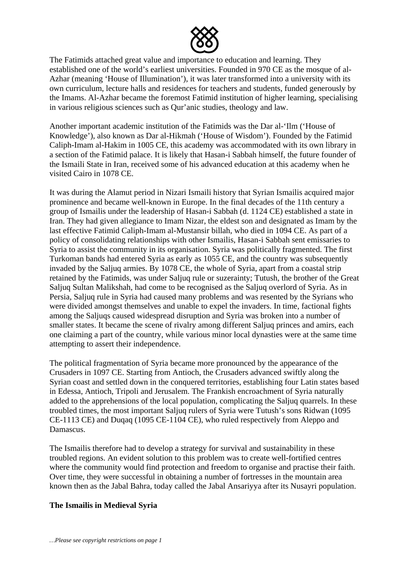

The Fatimids attached great value and importance to education and learning. They established one of the world's earliest universities. Founded in 970 CE as the mosque of al-Azhar (meaning 'House of Illumination'), it was later transformed into a university with its own curriculum, lecture halls and residences for teachers and students, funded generously by the Imams. Al-Azhar became the foremost Fatimid institution of higher learning, specialising in various religious sciences such as Qur'anic studies, theology and law.

Another important academic institution of the Fatimids was the Dar al-'Ilm ('House of Knowledge'), also known as Dar al-Hikmah ('House of Wisdom'). Founded by the Fatimid Caliph-Imam al-Hakim in 1005 CE, this academy was accommodated with its own library in a section of the Fatimid palace. It is likely that Hasan-i Sabbah himself, the future founder of the Ismaili State in Iran, received some of his advanced education at this academy when he visited Cairo in 1078 CE.

It was during the Alamut period in Nizari Ismaili history that Syrian Ismailis acquired major prominence and became well-known in Europe. In the final decades of the 11th century a group of Ismailis under the leadership of Hasan-i Sabbah (d. 1124 CE) established a state in Iran. They had given allegiance to Imam Nizar, the eldest son and designated as Imam by the last effective Fatimid Caliph-Imam al-Mustansir billah, who died in 1094 CE. As part of a policy of consolidating relationships with other Ismailis, Hasan-i Sabbah sent emissaries to Syria to assist the community in its organisation. Syria was politically fragmented. The first Turkoman bands had entered Syria as early as 1055 CE, and the country was subsequently invaded by the Saljuq armies. By 1078 CE, the whole of Syria, apart from a coastal strip retained by the Fatimids, was under Saljuq rule or suzerainty; Tutush, the brother of the Great Saljuq Sultan Malikshah, had come to be recognised as the Saljuq overlord of Syria. As in Persia, Saljuq rule in Syria had caused many problems and was resented by the Syrians who were divided amongst themselves and unable to expel the invaders. In time, factional fights among the Saljuqs caused widespread disruption and Syria was broken into a number of smaller states. It became the scene of rivalry among different Saljuq princes and amirs, each one claiming a part of the country, while various minor local dynasties were at the same time attempting to assert their independence.

The political fragmentation of Syria became more pronounced by the appearance of the Crusaders in 1097 CE. Starting from Antioch, the Crusaders advanced swiftly along the Syrian coast and settled down in the conquered territories, establishing four Latin states based in Edessa, Antioch, Tripoli and Jerusalem. The Frankish encroachment of Syria naturally added to the apprehensions of the local population, complicating the Saljuq quarrels. In these troubled times, the most important Saljuq rulers of Syria were Tutush's sons Ridwan (1095 CE-1113 CE) and Duqaq (1095 CE-1104 CE), who ruled respectively from Aleppo and Damascus.

The Ismailis therefore had to develop a strategy for survival and sustainability in these troubled regions. An evident solution to this problem was to create well-fortified centres where the community would find protection and freedom to organise and practise their faith. Over time, they were successful in obtaining a number of fortresses in the mountain area known then as the Jabal Bahra, today called the Jabal Ansariyya after its Nusayri population.

### **The Ismailis in Medieval Syria**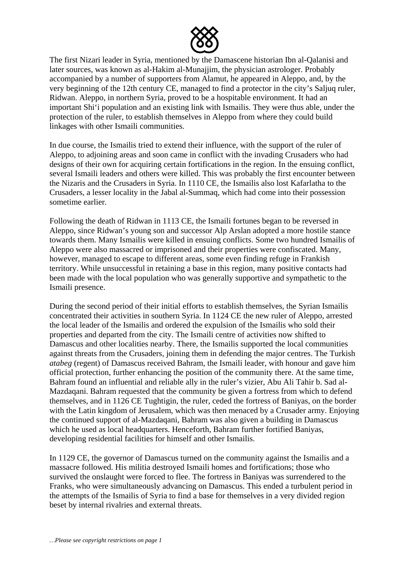

The first Nizari leader in Syria, mentioned by the Damascene historian Ibn al-Qalanisi and later sources, was known as al-Hakim al-Munajjim, the physician astrologer. Probably accompanied by a number of supporters from Alamut, he appeared in Aleppo, and, by the very beginning of the 12th century CE, managed to find a protector in the city's Saljuq ruler, Ridwan. Aleppo, in northern Syria, proved to be a hospitable environment. It had an important Shi'i population and an existing link with Ismailis. They were thus able, under the protection of the ruler, to establish themselves in Aleppo from where they could build linkages with other Ismaili communities.

In due course, the Ismailis tried to extend their influence, with the support of the ruler of Aleppo, to adjoining areas and soon came in conflict with the invading Crusaders who had designs of their own for acquiring certain fortifications in the region. In the ensuing conflict, several Ismaili leaders and others were killed. This was probably the first encounter between the Nizaris and the Crusaders in Syria. In 1110 CE, the Ismailis also lost Kafarlatha to the Crusaders, a lesser locality in the Jabal al-Summaq, which had come into their possession sometime earlier.

Following the death of Ridwan in 1113 CE, the Ismaili fortunes began to be reversed in Aleppo, since Ridwan's young son and successor Alp Arslan adopted a more hostile stance towards them. Many Ismailis were killed in ensuing conflicts. Some two hundred Ismailis of Aleppo were also massacred or imprisoned and their properties were confiscated. Many, however, managed to escape to different areas, some even finding refuge in Frankish territory. While unsuccessful in retaining a base in this region, many positive contacts had been made with the local population who was generally supportive and sympathetic to the Ismaili presence.

During the second period of their initial efforts to establish themselves, the Syrian Ismailis concentrated their activities in southern Syria. In 1124 CE the new ruler of Aleppo, arrested the local leader of the Ismailis and ordered the expulsion of the Ismailis who sold their properties and departed from the city. The Ismaili centre of activities now shifted to Damascus and other localities nearby. There, the Ismailis supported the local communities against threats from the Crusaders, joining them in defending the major centres. The Turkish *atabeg* (regent) of Damascus received Bahram, the Ismaili leader, with honour and gave him official protection, further enhancing the position of the community there. At the same time, Bahram found an influential and reliable ally in the ruler's vizier, Abu Ali Tahir b. Sad al-Mazdaqani. Bahram requested that the community be given a fortress from which to defend themselves, and in 1126 CE Tughtigin, the ruler, ceded the fortress of Baniyas, on the border with the Latin kingdom of Jerusalem, which was then menaced by a Crusader army. Enjoying the continued support of al-Mazdaqani, Bahram was also given a building in Damascus which he used as local headquarters. Henceforth, Bahram further fortified Baniyas, developing residential facilities for himself and other Ismailis.

In 1129 CE, the governor of Damascus turned on the community against the Ismailis and a massacre followed. His militia destroyed Ismaili homes and fortifications; those who survived the onslaught were forced to flee. The fortress in Baniyas was surrendered to the Franks, who were simultaneously advancing on Damascus. This ended a turbulent period in the attempts of the Ismailis of Syria to find a base for themselves in a very divided region beset by internal rivalries and external threats.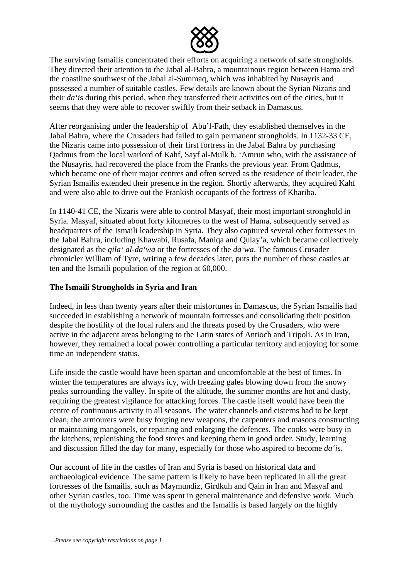

The surviving Ismailis concentrated their efforts on acquiring a network of safe strongholds. They directed their attention to the Jabal al-Bahra, a mountainous region between Hama and the coastline southwest of the Jabal al-Summaq, which was inhabited by Nusayris and possessed a number of suitable castles. Few details are known about the Syrian Nizaris and their *da'i*s during this period, when they transferred their activities out of the cities, but it seems that they were able to recover swiftly from their setback in Damascus.

After reorganising under the leadership of Abu'l-Fath, they established themselves in the Jabal Bahra, where the Crusaders had failed to gain permanent strongholds. In 1132-33 CE, the Nizaris came into possession of their first fortress in the Jabal Bahra by purchasing Qadmus from the local warlord of Kahf, Sayf al-Mulk b. 'Amrun who, with the assistance of the Nusayris, had recovered the place from the Franks the previous year. From Qadmus, which became one of their major centres and often served as the residence of their leader, the Syrian Ismailis extended their presence in the region. Shortly afterwards, they acquired Kahf and were also able to drive out the Frankish occupants of the fortress of Khariba.

In 1140-41 CE, the Nizaris were able to control Masyaf, their most important stronghold in Syria. Masyaf, situated about forty kilometres to the west of Hama, subsequently served as headquarters of the Ismaili leadership in Syria. They also captured several other fortresses in the Jabal Bahra, including Khawabi, Rusafa, Maniqa and Qulay'a, which became collectively designated as the *qila' al-da'wa* or the fortresses of the *da'wa*. The famous Crusader chronicler William of Tyre, writing a few decades later, puts the number of these castles at ten and the Ismaili population of the region at 60,000.

## **The Ismaili Strongholds in Syria and Iran**

Indeed, in less than twenty years after their misfortunes in Damascus, the Syrian Ismailis had succeeded in establishing a network of mountain fortresses and consolidating their position despite the hostility of the local rulers and the threats posed by the Crusaders, who were active in the adjacent areas belonging to the Latin states of Antioch and Tripoli. As in Iran, however, they remained a local power controlling a particular territory and enjoying for some time an independent status.

Life inside the castle would have been spartan and uncomfortable at the best of times. In winter the temperatures are always icy, with freezing gales blowing down from the snowy peaks surrounding the valley. In spite of the altitude, the summer months are hot and dusty, requiring the greatest vigilance for attacking forces. The castle itself would have been the centre of continuous activity in all seasons. The water channels and cisterns had to be kept clean, the armourers were busy forging new weapons, the carpenters and masons constructing or maintaining mangonels, or repairing and enlarging the defences. The cooks were busy in the kitchens, replenishing the food stores and keeping them in good order. Study, learning and discussion filled the day for many, especially for those who aspired to become *da'i*s.

Our account of life in the castles of Iran and Syria is based on historical data and archaeological evidence. The same pattern is likely to have been replicated in all the great fortresses of the Ismailis, such as Maymundiz, Girdkuh and Qain in Iran and Masyaf and other Syrian castles, too. Time was spent in general maintenance and defensive work. Much of the mythology surrounding the castles and the Ismailis is based largely on the highly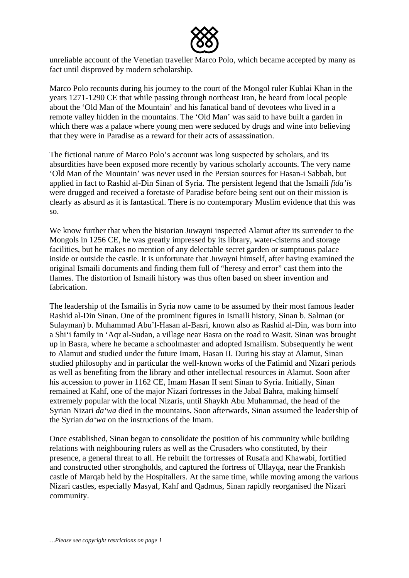

unreliable account of the Venetian traveller Marco Polo, which became accepted by many as fact until disproved by modern scholarship.

Marco Polo recounts during his journey to the court of the Mongol ruler Kublai Khan in the years 1271-1290 CE that while passing through northeast Iran, he heard from local people about the 'Old Man of the Mountain' and his fanatical band of devotees who lived in a remote valley hidden in the mountains. The 'Old Man' was said to have built a garden in which there was a palace where young men were seduced by drugs and wine into believing that they were in Paradise as a reward for their acts of assassination.

The fictional nature of Marco Polo's account was long suspected by scholars, and its absurdities have been exposed more recently by various scholarly accounts. The very name 'Old Man of the Mountain' was never used in the Persian sources for Hasan-i Sabbah, but applied in fact to Rashid al-Din Sinan of Syria. The persistent legend that the Ismaili *fida'i*s were drugged and received a foretaste of Paradise before being sent out on their mission is clearly as absurd as it is fantastical. There is no contemporary Muslim evidence that this was so.

We know further that when the historian Juwayni inspected Alamut after its surrender to the Mongols in 1256 CE, he was greatly impressed by its library, water-cisterns and storage facilities, but he makes no mention of any delectable secret garden or sumptuous palace inside or outside the castle. It is unfortunate that Juwayni himself, after having examined the original Ismaili documents and finding them full of "heresy and error" cast them into the flames. The distortion of Ismaili history was thus often based on sheer invention and fabrication.

The leadership of the Ismailis in Syria now came to be assumed by their most famous leader Rashid al-Din Sinan. One of the prominent figures in Ismaili history, Sinan b. Salman (or Sulayman) b. Muhammad Abu'l-Hasan al-Basri, known also as Rashid al-Din, was born into a Shi'i family in 'Aqr al-Sudan, a village near Basra on the road to Wasit. Sinan was brought up in Basra, where he became a schoolmaster and adopted Ismailism. Subsequently he went to Alamut and studied under the future Imam, Hasan II. During his stay at Alamut, Sinan studied philosophy and in particular the well-known works of the Fatimid and Nizari periods as well as benefiting from the library and other intellectual resources in Alamut. Soon after his accession to power in 1162 CE, Imam Hasan II sent Sinan to Syria. Initially, Sinan remained at Kahf, one of the major Nizari fortresses in the Jabal Bahra, making himself extremely popular with the local Nizaris, until Shaykh Abu Muhammad, the head of the Syrian Nizari *da'wa* died in the mountains. Soon afterwards, Sinan assumed the leadership of the Syrian *da'wa* on the instructions of the Imam.

Once established, Sinan began to consolidate the position of his community while building relations with neighbouring rulers as well as the Crusaders who constituted, by their presence, a general threat to all. He rebuilt the fortresses of Rusafa and Khawabi, fortified and constructed other strongholds, and captured the fortress of Ullayqa, near the Frankish castle of Marqab held by the Hospitallers. At the same time, while moving among the various Nizari castles, especially Masyaf, Kahf and Qadmus, Sinan rapidly reorganised the Nizari community.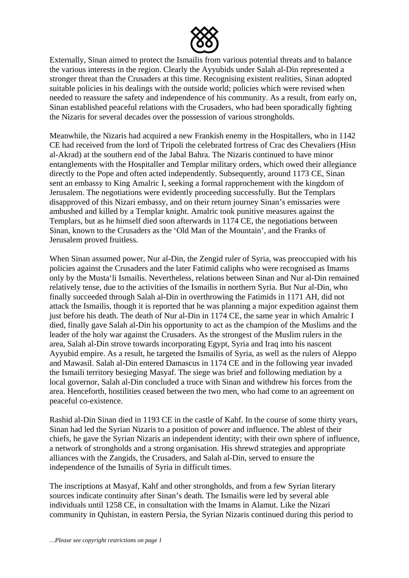

Externally, Sinan aimed to protect the Ismailis from various potential threats and to balance the various interests in the region. Clearly the Ayyubids under Salah al-Din represented a stronger threat than the Crusaders at this time. Recognising existent realities, Sinan adopted suitable policies in his dealings with the outside world; policies which were revised when needed to reassure the safety and independence of his community. As a result, from early on, Sinan established peaceful relations with the Crusaders, who had been sporadically fighting the Nizaris for several decades over the possession of various strongholds.

Meanwhile, the Nizaris had acquired a new Frankish enemy in the Hospitallers, who in 1142 CE had received from the lord of Tripoli the celebrated fortress of Crac des Chevaliers (Hisn al-Akrad) at the southern end of the Jabal Bahra. The Nizaris continued to have minor entanglements with the Hospitaller and Templar military orders, which owed their allegiance directly to the Pope and often acted independently. Subsequently, around 1173 CE, Sinan sent an embassy to King Amalric I, seeking a formal rapprochement with the kingdom of Jerusalem. The negotiations were evidently proceeding successfully. But the Templars disapproved of this Nizari embassy, and on their return journey Sinan's emissaries were ambushed and killed by a Templar knight. Amalric took punitive measures against the Templars, but as he himself died soon afterwards in 1174 CE, the negotiations between Sinan, known to the Crusaders as the 'Old Man of the Mountain', and the Franks of Jerusalem proved fruitless.

When Sinan assumed power, Nur al-Din, the Zengid ruler of Syria, was preoccupied with his policies against the Crusaders and the later Fatimid caliphs who were recognised as Imams only by the Musta'li Ismailis. Nevertheless, relations between Sinan and Nur al-Din remained relatively tense, due to the activities of the Ismailis in northern Syria. But Nur al-Din, who finally succeeded through Salah al-Din in overthrowing the Fatimids in 1171 AH, did not attack the Ismailis, though it is reported that he was planning a major expedition against them just before his death. The death of Nur al-Din in 1174 CE, the same year in which Amalric I died, finally gave Salah al-Din his opportunity to act as the champion of the Muslims and the leader of the holy war against the Crusaders. As the strongest of the Muslim rulers in the area, Salah al-Din strove towards incorporating Egypt, Syria and Iraq into his nascent Ayyubid empire. As a result, he targeted the Ismailis of Syria, as well as the rulers of Aleppo and Mawasil. Salah al-Din entered Damascus in 1174 CE and in the following year invaded the Ismaili territory besieging Masyaf. The siege was brief and following mediation by a local governor, Salah al-Din concluded a truce with Sinan and withdrew his forces from the area. Henceforth, hostilities ceased between the two men, who had come to an agreement on peaceful co-existence.

Rashid al-Din Sinan died in 1193 CE in the castle of Kahf. In the course of some thirty years, Sinan had led the Syrian Nizaris to a position of power and influence. The ablest of their chiefs, he gave the Syrian Nizaris an independent identity; with their own sphere of influence, a network of strongholds and a strong organisation. His shrewd strategies and appropriate alliances with the Zangids, the Crusaders, and Salah al-Din, served to ensure the independence of the Ismailis of Syria in difficult times.

The inscriptions at Masyaf, Kahf and other strongholds, and from a few Syrian literary sources indicate continuity after Sinan's death. The Ismailis were led by several able individuals until 1258 CE, in consultation with the Imams in Alamut. Like the Nizari community in Quhistan, in eastern Persia, the Syrian Nizaris continued during this period to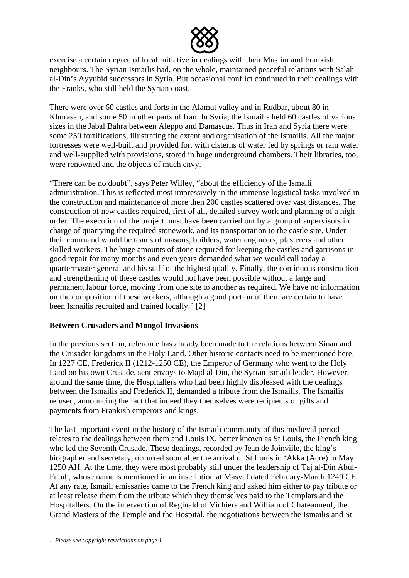

exercise a certain degree of local initiative in dealings with their Muslim and Frankish neighbours. The Syrian Ismailis had, on the whole, maintained peaceful relations with Salah al-Din's Ayyubid successors in Syria. But occasional conflict continued in their dealings with the Franks, who still held the Syrian coast.

There were over 60 castles and forts in the Alamut valley and in Rudbar, about 80 in Khurasan, and some 50 in other parts of Iran. In Syria, the Ismailis held 60 castles of various sizes in the Jabal Bahra between Aleppo and Damascus. Thus in Iran and Syria there were some 250 fortifications, illustrating the extent and organisation of the Ismailis. All the major fortresses were well-built and provided for, with cisterns of water fed by springs or rain water and well-supplied with provisions, stored in huge underground chambers. Their libraries, too, were renowned and the objects of much envy.

"There can be no doubt", says Peter Willey, "about the efficiency of the Ismaili administration. This is reflected most impressively in the immense logistical tasks involved in the construction and maintenance of more then 200 castles scattered over vast distances. The construction of new castles required, first of all, detailed survey work and planning of a high order. The execution of the project must have been carried out by a group of supervisors in charge of quarrying the required stonework, and its transportation to the castle site. Under their command would be teams of masons, builders, water engineers, plasterers and other skilled workers. The huge amounts of stone required for keeping the castles and garrisons in good repair for many months and even years demanded what we would call today a quartermaster general and his staff of the highest quality. Finally, the continuous construction and strengthening of these castles would not have been possible without a large and permanent labour force, moving from one site to another as required. We have no information on the composition of these workers, although a good portion of them are certain to have been Ismailis recruited and trained locally." [2]

### **Between Crusaders and Mongol Invasions**

In the previous section, reference has already been made to the relations between Sinan and the Crusader kingdoms in the Holy Land. Other historic contacts need to be mentioned here. In 1227 CE, Frederick II (1212-1250 CE), the Emperor of Germany who went to the Holy Land on his own Crusade, sent envoys to Majd al-Din, the Syrian Ismaili leader. However, around the same time, the Hospitallers who had been highly displeased with the dealings between the Ismailis and Frederick II, demanded a tribute from the Ismailis. The Ismailis refused, announcing the fact that indeed they themselves were recipients of gifts and payments from Frankish emperors and kings.

The last important event in the history of the Ismaili community of this medieval period relates to the dealings between them and Louis IX, better known as St Louis, the French king who led the Seventh Crusade. These dealings, recorded by Jean de Joinville, the king's biographer and secretary, occurred soon after the arrival of St Louis in 'Akka (Acre) in May 1250 AH. At the time, they were most probably still under the leadership of Taj al-Din Abul-Futuh, whose name is mentioned in an inscription at Masyaf dated February-March 1249 CE. At any rate, Ismaili emissaries came to the French king and asked him either to pay tribute or at least release them from the tribute which they themselves paid to the Templars and the Hospitallers. On the intervention of Reginald of Vichiers and William of Chateauneuf, the Grand Masters of the Temple and the Hospital, the negotiations between the Ismailis and St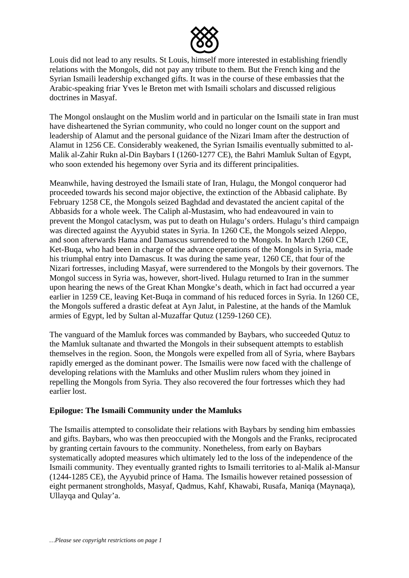

Louis did not lead to any results. St Louis, himself more interested in establishing friendly relations with the Mongols, did not pay any tribute to them. But the French king and the Syrian Ismaili leadership exchanged gifts. It was in the course of these embassies that the Arabic-speaking friar Yves le Breton met with Ismaili scholars and discussed religious doctrines in Masyaf.

The Mongol onslaught on the Muslim world and in particular on the Ismaili state in Iran must have disheartened the Syrian community, who could no longer count on the support and leadership of Alamut and the personal guidance of the Nizari Imam after the destruction of Alamut in 1256 CE. Considerably weakened, the Syrian Ismailis eventually submitted to al-Malik al-Zahir Rukn al-Din Baybars I (1260-1277 CE), the Bahri Mamluk Sultan of Egypt, who soon extended his hegemony over Syria and its different principalities.

Meanwhile, having destroyed the Ismaili state of Iran, Hulagu, the Mongol conqueror had proceeded towards his second major objective, the extinction of the Abbasid caliphate. By February 1258 CE, the Mongols seized Baghdad and devastated the ancient capital of the Abbasids for a whole week. The Caliph al-Mustasim, who had endeavoured in vain to prevent the Mongol cataclysm, was put to death on Hulagu's orders. Hulagu's third campaign was directed against the Ayyubid states in Syria. In 1260 CE, the Mongols seized Aleppo, and soon afterwards Hama and Damascus surrendered to the Mongols. In March 1260 CE, Ket-Buqa, who had been in charge of the advance operations of the Mongols in Syria, made his triumphal entry into Damascus. It was during the same year, 1260 CE, that four of the Nizari fortresses, including Masyaf, were surrendered to the Mongols by their governors. The Mongol success in Syria was, however, short-lived. Hulagu returned to Iran in the summer upon hearing the news of the Great Khan Mongke's death, which in fact had occurred a year earlier in 1259 CE, leaving Ket-Buqa in command of his reduced forces in Syria. In 1260 CE, the Mongols suffered a drastic defeat at Ayn Jalut, in Palestine, at the hands of the Mamluk armies of Egypt, led by Sultan al-Muzaffar Qutuz (1259-1260 CE).

The vanguard of the Mamluk forces was commanded by Baybars, who succeeded Qutuz to the Mamluk sultanate and thwarted the Mongols in their subsequent attempts to establish themselves in the region. Soon, the Mongols were expelled from all of Syria, where Baybars rapidly emerged as the dominant power. The Ismailis were now faced with the challenge of developing relations with the Mamluks and other Muslim rulers whom they joined in repelling the Mongols from Syria. They also recovered the four fortresses which they had earlier lost.

### **Epilogue: The Ismaili Community under the Mamluks**

The Ismailis attempted to consolidate their relations with Baybars by sending him embassies and gifts. Baybars, who was then preoccupied with the Mongols and the Franks, reciprocated by granting certain favours to the community. Nonetheless, from early on Baybars systematically adopted measures which ultimately led to the loss of the independence of the Ismaili community. They eventually granted rights to Ismaili territories to al-Malik al-Mansur (1244-1285 CE), the Ayyubid prince of Hama. The Ismailis however retained possession of eight permanent strongholds, Masyaf, Qadmus, Kahf, Khawabi, Rusafa, Maniqa (Maynaqa), Ullayqa and Qulay'a.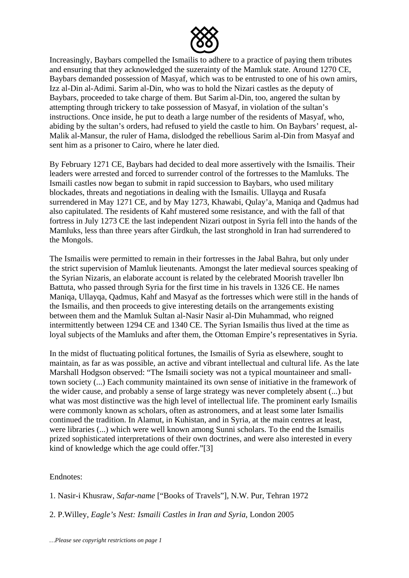

Increasingly, Baybars compelled the Ismailis to adhere to a practice of paying them tributes and ensuring that they acknowledged the suzerainty of the Mamluk state. Around 1270 CE, Baybars demanded possession of Masyaf, which was to be entrusted to one of his own amirs, Izz al-Din al-Adimi. Sarim al-Din, who was to hold the Nizari castles as the deputy of Baybars, proceeded to take charge of them. But Sarim al-Din, too, angered the sultan by attempting through trickery to take possession of Masyaf, in violation of the sultan's instructions. Once inside, he put to death a large number of the residents of Masyaf, who, abiding by the sultan's orders, had refused to yield the castle to him. On Baybars' request, al-Malik al-Mansur, the ruler of Hama, dislodged the rebellious Sarim al-Din from Masyaf and sent him as a prisoner to Cairo, where he later died.

By February 1271 CE, Baybars had decided to deal more assertively with the Ismailis. Their leaders were arrested and forced to surrender control of the fortresses to the Mamluks. The Ismaili castles now began to submit in rapid succession to Baybars, who used military blockades, threats and negotiations in dealing with the Ismailis. Ullayqa and Rusafa surrendered in May 1271 CE, and by May 1273, Khawabi, Qulay'a, Maniqa and Qadmus had also capitulated. The residents of Kahf mustered some resistance, and with the fall of that fortress in July 1273 CE the last independent Nizari outpost in Syria fell into the hands of the Mamluks, less than three years after Girdkuh, the last stronghold in Iran had surrendered to the Mongols.

The Ismailis were permitted to remain in their fortresses in the Jabal Bahra, but only under the strict supervision of Mamluk lieutenants. Amongst the later medieval sources speaking of the Syrian Nizaris, an elaborate account is related by the celebrated Moorish traveller lbn Battuta, who passed through Syria for the first time in his travels in 1326 CE. He names Maniqa, Ullayqa, Qadmus, Kahf and Masyaf as the fortresses which were still in the hands of the Ismailis, and then proceeds to give interesting details on the arrangements existing between them and the Mamluk Sultan al-Nasir Nasir al-Din Muhammad, who reigned intermittently between 1294 CE and 1340 CE. The Syrian Ismailis thus lived at the time as loyal subjects of the Mamluks and after them, the Ottoman Empire's representatives in Syria.

In the midst of fluctuating political fortunes, the Ismailis of Syria as elsewhere, sought to maintain, as far as was possible, an active and vibrant intellectual and cultural life. As the late Marshall Hodgson observed: "The Ismaili society was not a typical mountaineer and smalltown society (...) Each community maintained its own sense of initiative in the framework of the wider cause, and probably a sense of large strategy was never completely absent (...) but what was most distinctive was the high level of intellectual life. The prominent early Ismailis were commonly known as scholars, often as astronomers, and at least some later Ismailis continued the tradition. In Alamut, in Kuhistan, and in Syria, at the main centres at least, were libraries (...) which were well known among Sunni scholars. To the end the Ismailis prized sophisticated interpretations of their own doctrines, and were also interested in every kind of knowledge which the age could offer."[3]

Endnotes:

1. Nasir-i Khusraw, *Safar-name* ["Books of Travels"], N.W. Pur, Tehran 1972

2. P.Willey, *Eagle's Nest: Ismaili Castles in Iran and Syria*, London 2005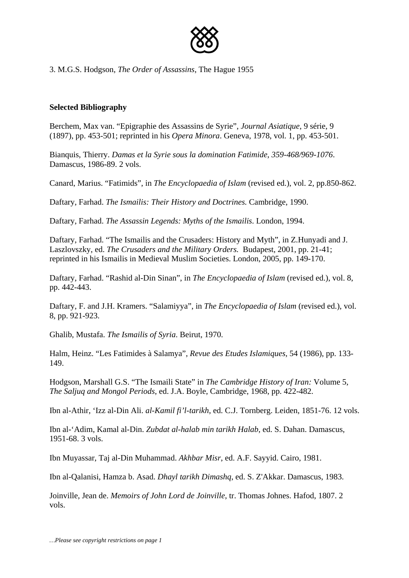

3. M.G.S. Hodgson, *The Order of Assassins*, The Hague 1955

### **Selected Bibliography**

Berchem, Max van. "Epigraphie des Assassins de Syrie", *Journal Asiatique*, 9 série, 9 (1897), pp. 453-501; reprinted in his *Opera Minora*. Geneva, 1978, vol. 1, pp. 453-501.

Bianquis, Thierry. *Damas et la Syrie sous la domination Fatimide*, *359-468/969-1076*. Damascus, 1986-89. 2 vols.

Canard, Marius. "Fatimids", in *The Encyclopaedia of Islam* (revised ed.), vol. 2, pp.850-862.

Daftary, Farhad. *The Ismailis: Their History and Doctrines.* Cambridge, 1990.

Daftary, Farhad. *The Assassin Legends: Myths of the Ismailis*. London, 1994.

Daftary, Farhad. "The Ismailis and the Crusaders: History and Myth", in Z.Hunyadi and J. Laszlovszky, ed. *The Crusaders and the Military Orders.* Budapest, 2001, pp. 21-41; reprinted in his Ismailis in Medieval Muslim Societies. London, 2005, pp. 149-170.

Daftary, Farhad. "Rashid al-Din Sinan", in *The Encyclopaedia of Islam* (revised ed.), vol. 8, pp. 442-443.

Daftary, F. and J.H. Kramers. "Salamiyya", in *The Encyclopaedia of Islam* (revised ed.), vol. 8, pp. 921-923.

Ghalib, Mustafa. *The Ismailis of Syria*. Beirut, 1970.

Halm, Heinz. "Les Fatimides à Salamya", *Revue des Etudes Islamiques*, 54 (1986), pp. 133- 149.

Hodgson, Marshall G.S. "The Ismaili State" in *The Cambridge History of Iran:* Volume 5, *The Saljuq and Mongol Periods*, ed. J.A. Boyle, Cambridge, 1968, pp. 422-482.

Ibn al-Athir, 'Izz al-Din Ali. *al-Kamil fi'l-tarikh*, ed. C.J. Tornberg. Leiden, 1851-76. 12 vols.

Ibn al-'Adim, Kamal al-Din. *Zubdat al-halab min tarikh Halab*, ed. S. Dahan. Damascus, 1951-68. 3 vols.

Ibn Muyassar, Taj al-Din Muhammad. *Akhbar Misr*, ed. A.F. Sayyid. Cairo, 1981.

Ibn al-Qalanisi, Hamza b. Asad. *Dhayl tarikh Dimashq*, ed. S. Z'Akkar. Damascus, 1983.

Joinville, Jean de. *Memoirs of John Lord de Joinville*, tr. Thomas Johnes. Hafod, 1807. 2 vols.